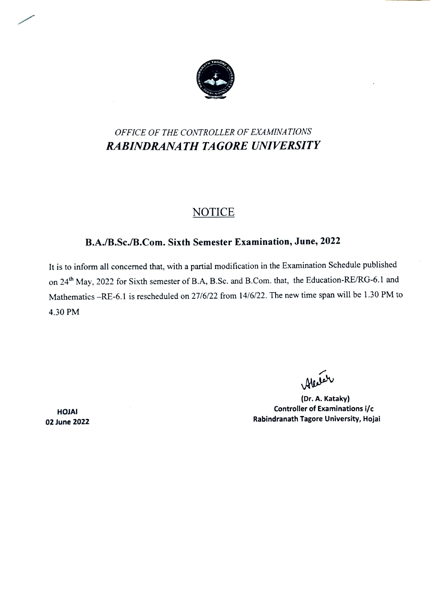

## OFFICE OF THE CONTROLLER OF EXAMINATIONS RABINDRANATH TAGORE UNIVERSITY

### **NOTICE**

### B.A/B.Sc./B.Com. Sixth Semester Examination, June, 2022

It is to inform all concerned that, with a partial modification in the Examination Schedule published on 24<sup>th</sup> May, 2022 for Sixth semester of B.A, B.Sc. and B.Com. that, the Education-RE/RG-6.1 and Mathematics -RE-6.1 is rescheduled on 27/6/22 from 14/6/22. The new time span will be 1.30 PM to 4.30 PM

Alestar

(Dr. A. Kataky) Controller of Examinations i/c Rabindranath Tagore University, Hojai

HOJAI 02 June 2022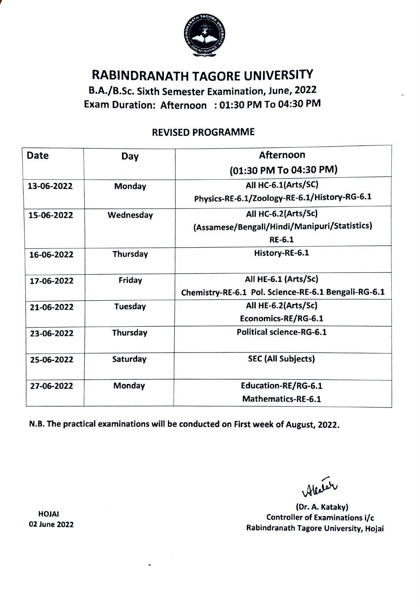

# RABINDRANATH TAGORE UNIVERSITY

B.A./B.Sc. Sixth Semester Examination, June, 2022 Exam Duration: Afternoon :01:30 PM To 04:30 PM

### REVISED PROGRAMME

| <b>Date</b> | Day       | <b>Afternoon</b>                                    |
|-------------|-----------|-----------------------------------------------------|
|             |           | (01:30 PM To 04:30 PM)                              |
| 13-06-2022  | Monday    | All HC-6.1(Arts/SC)                                 |
|             |           | Physics-RE-6.1/Zoology-RE-6.1/History-RG-6.1        |
| 15-06-2022  | Wednesday | All HC-6.2(Arts/Sc)                                 |
|             |           | (Assamese/Bengali/Hindi/Manipuri/Statistics)        |
|             |           | $RE-6.1$                                            |
| 16-06-2022  | Thursday  | History-RE-6.1                                      |
|             |           |                                                     |
| 17-06-2022  | Friday    | All HE-6.1 (Arts/Sc)                                |
|             |           | Chemistry-RE-6.1 Pol. Science-RE-6.1 Bengali-RG-6.1 |
| 21-06-2022  | Tuesday   | All HE-6.2(Arts/Sc)                                 |
|             |           | Economics-RE/RG-6.1                                 |
| 23-06-2022  | Thursday  | <b>Political science-RG-6.1</b>                     |
|             |           |                                                     |
| 25-06-2022  | Saturday  | <b>SEC (All Subjects)</b>                           |
|             |           |                                                     |
| 27-06-2022  | Monday    | <b>Education-RE/RG-6.1</b>                          |
|             |           | <b>Mathematics-RE-6.1</b>                           |

N.B. The practical examinations will be conducted on First week of August, 2022.

Aleser

(Dr.A. Kataky) Controller of Examinations i/c Rabindranath Tagore University, Hojai

HOJAI 02 June 2022